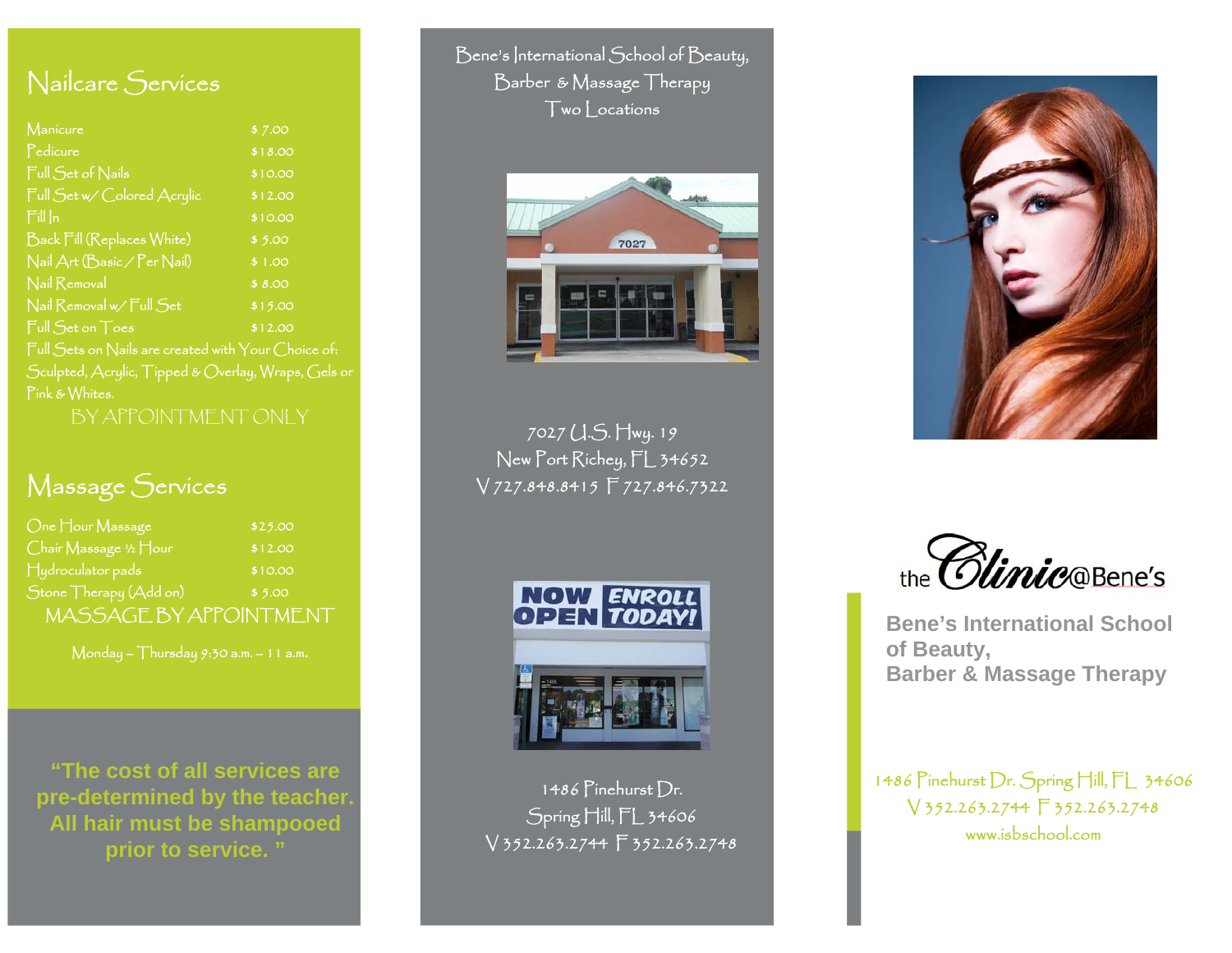#### Nailcare Services

| Manicure                                                         | \$7.00  |
|------------------------------------------------------------------|---------|
| Pedicure                                                         | \$18.00 |
| Full Set of Nails                                                | \$10.00 |
| Full Set w/ Colored Acrylic                                      | \$12.00 |
| $\lceil \frac{1}{2} \rceil \rceil \ln \lceil \frac{1}{2} \rceil$ | \$10.00 |
| Back Fill (Replaces White)                                       | \$5.00  |
| Nail Art (Basic / Per Nail)                                      | \$1.00  |
| Nail Removal                                                     | \$8.00  |
| Nail Removal w/ Full Set                                         | \$15.00 |
| Full Set on Toes                                                 | \$12.00 |
| Full Sets on Nails are created with Your Choice of:              |         |
| Sculpted, Acrylic, Tipped & Overlay, Wraps, Gels or              |         |
| Pink & Whites.                                                   |         |
| BY APPOINTMENT ONLY                                              |         |

#### Massage Services

| One Hour Massage        | \$25.00 |
|-------------------------|---------|
| Chair Massage ½ Hour    | \$12.00 |
| $\Box$ ydroculator pads | \$10.00 |
| Stone Therapy (Add on)  | \$5.00  |
| MASSAGE BY APPOINTMENT  |         |

Monday – Thursday 9:30 a.m. – 11 a.m.

**"The cost of all services are pre-determined by the teacher. All hair must be shampooed prior to service. "** 

Bene's International School of Beauty, Barber & Massage Therapy Two Locations



7027 U.S. Hwy. 19 New Port Richey, FL 34652 V 727.848.8415 F 727.846.7322



 1486 Pinehurst Dr. Spring Hill, FL 34606 V 352.263.2744 F 352.263.2748



the *Clinic* **OBene's** 

**Bene's International School of Beauty, Barber & Massage Therapy** 

1486 Pinehurst Dr. Spring Hill, FL 34606 V 352.263.2744 F 352.263.2748 www.isbschool.com